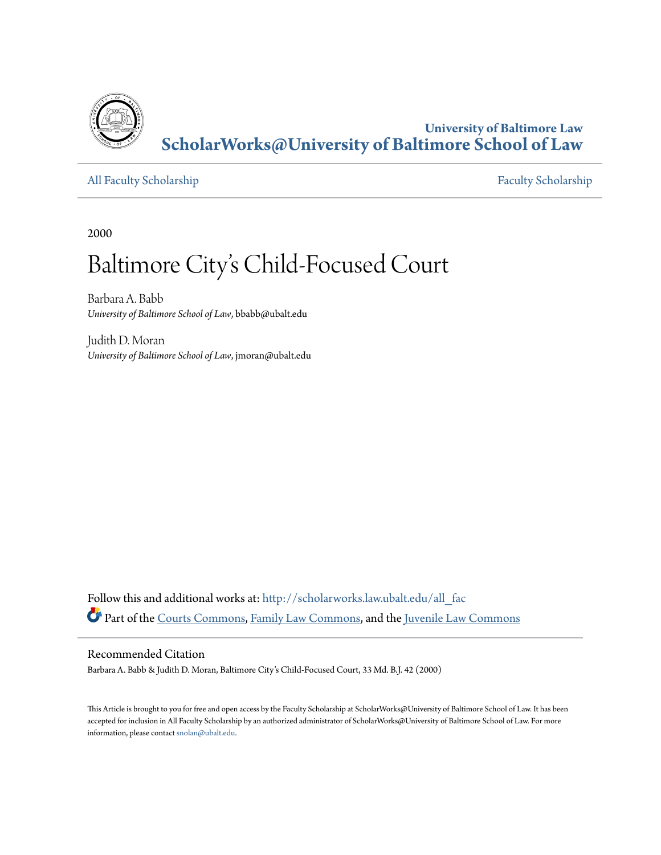

**University of Baltimore Law [ScholarWorks@University of Baltimore School of Law](http://scholarworks.law.ubalt.edu?utm_source=scholarworks.law.ubalt.edu%2Fall_fac%2F68&utm_medium=PDF&utm_campaign=PDFCoverPages)**

[All Faculty Scholarship](http://scholarworks.law.ubalt.edu/all_fac?utm_source=scholarworks.law.ubalt.edu%2Fall_fac%2F68&utm_medium=PDF&utm_campaign=PDFCoverPages) [Faculty Scholarship](http://scholarworks.law.ubalt.edu/faculty?utm_source=scholarworks.law.ubalt.edu%2Fall_fac%2F68&utm_medium=PDF&utm_campaign=PDFCoverPages)

2000

# Baltimore City 's Child-Focused Court

Barbara A. Babb *University of Baltimore School of Law*, bbabb@ubalt.edu

Judith D. Moran *University of Baltimore School of Law*, jmoran@ubalt.edu

Follow this and additional works at: [http://scholarworks.law.ubalt.edu/all\\_fac](http://scholarworks.law.ubalt.edu/all_fac?utm_source=scholarworks.law.ubalt.edu%2Fall_fac%2F68&utm_medium=PDF&utm_campaign=PDFCoverPages) Part of the [Courts Commons](http://network.bepress.com/hgg/discipline/839?utm_source=scholarworks.law.ubalt.edu%2Fall_fac%2F68&utm_medium=PDF&utm_campaign=PDFCoverPages), [Family Law Commons,](http://network.bepress.com/hgg/discipline/602?utm_source=scholarworks.law.ubalt.edu%2Fall_fac%2F68&utm_medium=PDF&utm_campaign=PDFCoverPages) and the [Juvenile Law Commons](http://network.bepress.com/hgg/discipline/851?utm_source=scholarworks.law.ubalt.edu%2Fall_fac%2F68&utm_medium=PDF&utm_campaign=PDFCoverPages)

### Recommended Citation

Barbara A. Babb & Judith D. Moran, Baltimore City's Child-Focused Court, 33 Md. B.J. 42 (2000)

This Article is brought to you for free and open access by the Faculty Scholarship at ScholarWorks@University of Baltimore School of Law. It has been accepted for inclusion in All Faculty Scholarship by an authorized administrator of ScholarWorks@University of Baltimore School of Law. For more information, please contact [snolan@ubalt.edu.](mailto:snolan@ubalt.edu)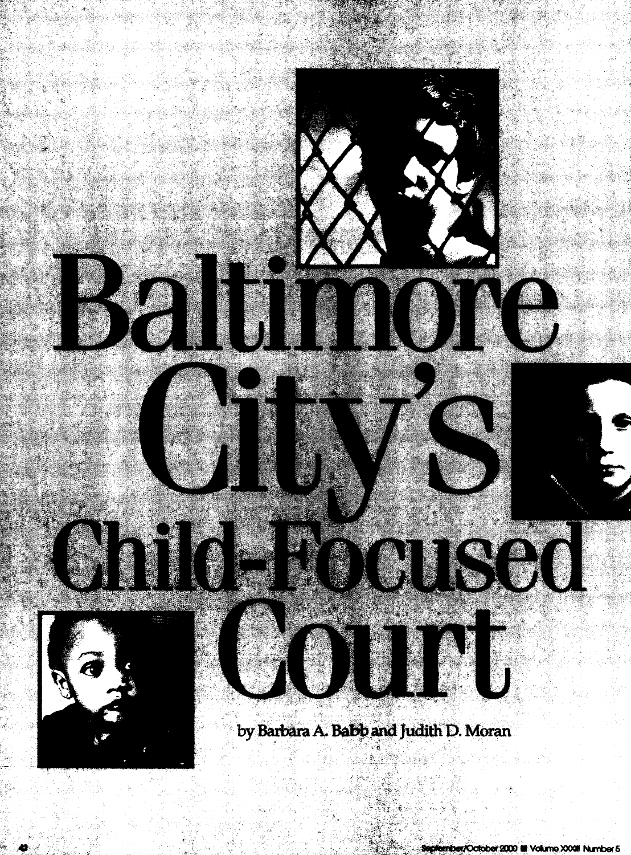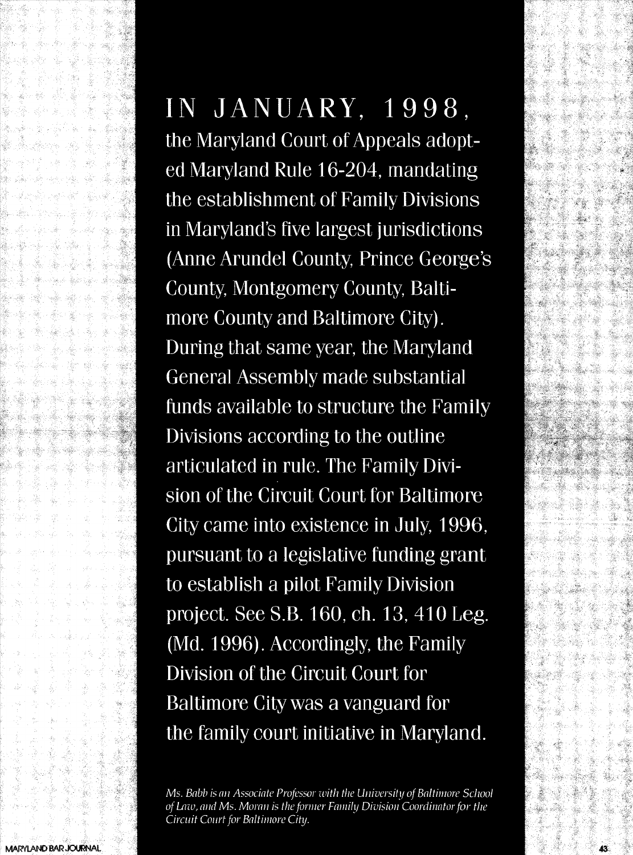# IN JANUARY, 1998,

the Maryland Court of Appeals adopted Maryland Rule 16-204, mandating the establishment of Family Divisions in Maryland's five largest jurisdictions (Anne Arundel County, Prince George's County, Montgomery County, Baltimore County and Baltimore City). During that same year, the Maryland **General Assembly made substantial** funds available to structure the Family Divisions according to the outline articulated in rule. The Family Division of the Circuit Court for Baltimore City came into existence in July, 1996, pursuant to a legislative funding grant to establish a pilot Family Division project. See S.B. 160, ch. 13, 410 Leg. (Md. 1996). Accordingly, the Family Division of the Circuit Court for Baltimore City was a vanguard for the family court initiative in Maryland.

Ms. Babb is an Associate Professor with the University of Baltimore School of Law, and Ms. Moran is the former Family Division Coordinator for the Circuit Court for Baltimore City.

AX.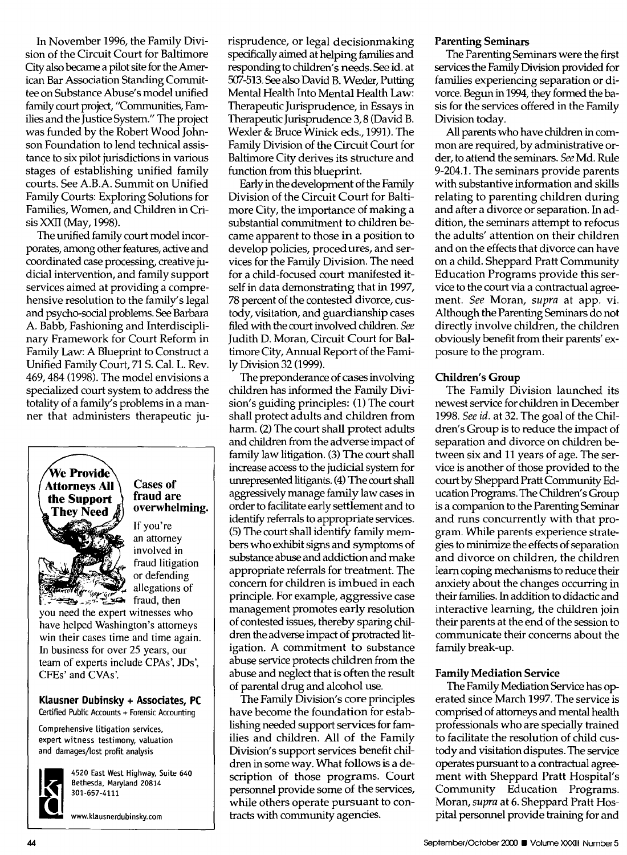In November 1996, the Family Division of the Circuit Court for Baltimore City also became a pilot site for the American Bar Association Standing Committee on Substance Abuse's model unified family court project, "Communities, Families and the Justice System." The project was funded by the Robert Wood Johnson Foundation to lend technical assistance to six pilot jurisdictions in various stages of establishing unified family courts. See A.B.A. Summit on Unified Family Courts: Exploring Solutions for Families, Women, and Children in Crisis XXII (May, 1998).

The unified family court model incorporates, among other features, active and coordinated case processing, creative judicial intervention, and family support services aimed at providing a comprehensive resolution to the family's legal and psycho-social problems. See Barbara A. Babb, Fashioning and Interdisciplinary Framework for Court Reform in Family Law: A Blueprint to Construct a Unified Family Court, 71 S. Cal. L. Rev. 469,484 (1998). The model envisions a specialized court system to address the totality of a family's problems in a manner that administers therapeutic ju-



### Cases of fraud are overwhelming.

If you're an attorney involved in fraud litigation or defending allegations of

you need the expert witnesses who have helped Washington's attorneys win their cases time and time again. In business for over 25 years, our team of experts include CPAs', lOs', CFEs' and CVAs'.

#### Klausner Dubinsky + Associates, PC Certified Public Accounts + Forensic Accounting

Comprehensive litigation services, expert witness testimony, valuation and damages/lost profit analysis



4520 East West Highway, Suite 640 Bethesda, Maryland 20814 301-657-4111

www.klausnerdubinsky.com

risprudence, or legal decision making specifically aimed at helping families and responding to children's needs. See id. at 507-513. See also David B. Wexler, Putting Mental Health Into Mental Health Law: Therapeutic Jurisprudence, in Essays in Therapeutic Jurisprudence 3, 8 (David B. Wexler & Bruce Winick eds., 1991). The Family Division of the Circuit Court for Baltimore City derives its structure and function from this blueprint.

Early in the development of the Family Division of the Circuit Court for Baltimore City, the importance of making a substantial commitment to children became apparent to those in a position to develop policies, procedures, and services for the Family Division. The need for a child-focused court manifested itself in data demonstrating that in 1997, 78 percent of the contested divorce, custody, visitation, and guardianship cases filed with the court involved children. *See*  Judith D. Moran, Circuit Court for Baltimore City, Annual Report of the Family Division 32 (1999).

The preponderance of cases involving children has informed the Family Division's guiding principles: (1) The court shall protect adults and children from harm. (2) The court shall protect adults and children from the adverse impact of family law litigation. (3) The court shall increase access to the judicial system for unrepresented litigants. (4) The court shall aggressively manage family law cases in order to facilitate early settlement and to identify referrals to appropriate services. (5) The court shall identify family members who exhibit signs and symptoms of substance abuse and addiction and make appropriate referrals for treatment. The concern for children is imbued in each principle. For example, aggressive case management promotes early resolution of contested issues, thereby sparing children the adverse impact of protracted litigation. A commitment to substance abuse service protects children from the abuse and neglect that is often the result of parental drug and alcohol use.

The Family Division's core principles have become the foundation for establishing needed support services for families and children. All of the Family Division's support services benefit children in some way. What follows is a description of those programs. Court personnel provide some of the services, while others operate pursuant to contracts with community agencies.

### Parenting Seminars

The Parenting Seminars were the first services the Family Division provided for families experiencing separation or divorce. Begun in 1994, they formed the basis for the services offered in the Family Division today.

All parents who have children in common are required, by administrative order, to attend the seminars. *See* Md. Rule 9-204.1. The seminars provide parents with substantive information and skills relating to parenting children during and after a divorce or separation. In addition, the seminars attempt to refocus the adults' attention on their children and on the effects that divorce can have on a child. Sheppard Pratt Community Education Programs provide this service to the court via a contractual agreement. *See* Moran, *supra* at app. vi. Although the Parenting Seminars do not directly involve children, the children obviously benefit from their parents' exposure to the program.

#### Children's Group

The Family Division launched its newest service for children in December *1998. See id.* at 32. The goal of the Children's Group is to reduce the impact of separation and divorce on children between six and 11 years of age. The service is another of those provided to the court by Sheppard Pratt Community Education Programs. The Children's Group is a companion to the Parenting Seminar and runs concurrently with that program. While parents experience strategies to minimize the effects of separation and divorce on children, the children learn coping mechanisms to reduce their anxiety about the changes occurring in their families. In addition to didactic and interactive learning, the children join their parents at the end of the session to communicate their concerns about the family break-up.

### Family Mediation Service

The Family Mediation Service has operated since March 1997. The service is comprised of attomeys and mental health professionals who are specially trained to facilitate the resolution of child custodyand visitation disputes. The service operates pursuant to a contractual agreement with Sheppard Pratt Hospital's Community Education Programs. Moran, *supra* at 6. Sheppard Pratt Hospital personnel provide training for and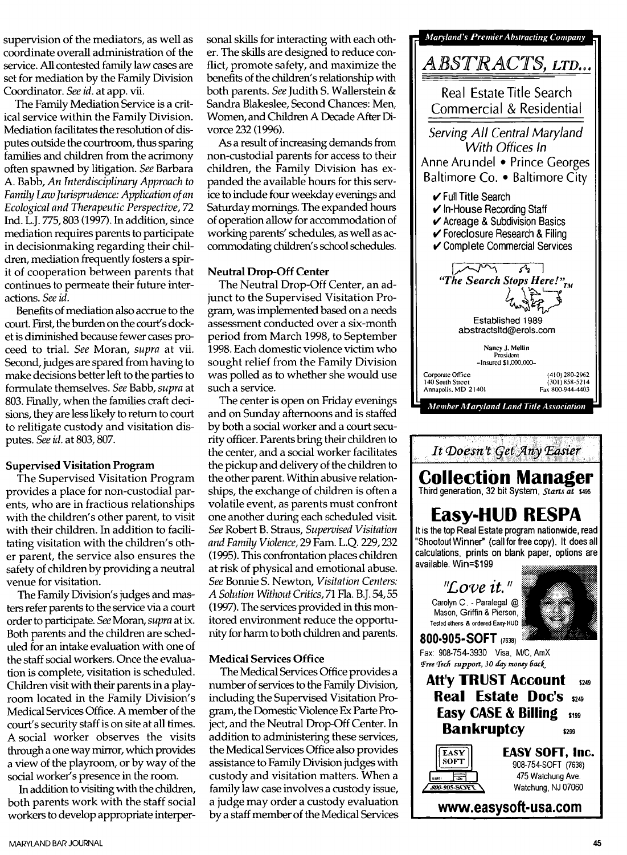supervision of the mediators, as well as coordinate overall administration of the service. All contested family law cases are set for mediation by the Family Division Coordinator. *See id.* at app. vii.

The Family Mediation Service is a critical service within the Family Division. Mediation facilitates the resolution of disputes outside the courtroom, thus sparing families and children from the acrimony often spawned by litigation. *See* Barbara A. Babb, *An Interdisciplinary Approach to Family* Law *Jurisprudence: Application of an Ecological and Therapeutic Perspective, 72*  Ind. L.J. 775,803 (1997). In addition, since mediation requires parents to participate in decisionmaking regarding their children, mediation frequently fosters a spirit of cooperation between parents that continues to permeate their future interactions. *See id.* 

Benefits of mediation also accrue to the court. First, the burden on the court's docket is diminished because fewer cases proceed to trial. *See* Moran, *supra* at vii. Second, judges are spared from having to make decisions better left to the parties to formulate themselves. *See* Babb, *supra* at 803. Finally, when the families craft decisions, they are less likely to return to court to relitigate custody and visitation disputes. *See id.* at 803, 807.

### Supervised Visitation Program

The Supervised Visitation Program provides a place for non-custodial parents, who are in fractious relationships with the children's other parent, to visit with their children. In addition to facilitating visitation with the children's other parent, the service also ensures the safety of children by providing a neutral venue for visitation.

The Family Division's judges and masters refer parents to the service via a court order to participate. *See* Moran, *supra* at ix. Both parents and the children are scheduled for an intake evaluation with one of the staff social workers. Once the evaluation is complete, visitation is scheduled. Children visit with their parents in a playroom located in the Family Division's Medical Services Office. A member of the court's security staff is on site at all times. A social worker observes the visits through a one way mirror, which provides a view of the playroom, or by way of the social worker's presence in the room.

In addition to visiting with the children, both parents work with the staff social workers to develop appropriate interpersonal skills for interacting with each other. The skills are designed to reduce conflict, promote safety, and maximize the benefits of the children's relationship with both parents. *See* Judith S. Wallerstein & Sandra Blakeslee, Second Chances: Men, Women, and Children A Decade After Divorce 232 (1996).

As a result of increasing demands from non-custodial parents for access to their children, the Family Division has expanded the available hours for this service to include four weekday evenings and Saturday mornings. The expanded hours of operation allow for accommodation of working parents' schedules, as well as accommodating children's school schedules.

### Neutral Drop-Off Center

The Neutral Drop-Off Center, an adjunct to the Supervised Visitation Program, was implemented based on a needs assessment conducted over a six-month period from March 1998, to September 1998. Each domestic violence victim who sought relief from the Family Division was polled as to whether she would use such a service.

The center is open on Friday evenings and on Sunday afternoons and is staffed by both a social worker and a court security officer. Parents bring their children to the center, and a social worker facilitates the pickup and delivery of the children to the other parent. Within abusive relationships, the exchange of children is often a volatile event, as parents must confront one another during each scheduled visit. *See* Robert B. Straus, *Supervised Visitation and Family Violence,* 29 Fam. L.Q. 229,232 (1995). This confrontation places children at risk of physical and emotional abuse. *See* Bonnie S. Newton, *Visitation Centers:*  A Solution Without Critics, 71 Fla. B.J. 54, 55 (1997). The services provided in this monitored environment reduce the opportunity for harm to both children and parents.

### Medical Services Office

The Medical Services Office provides a number of services to the Family Division, including the Supervised Visitation Program, the Domestic Violence Ex Parte Pr0 ject, and the Neutral Drop-Off Center. In addition to administering these services, the Medical Services Office also provides assistance to Family Division judges with custody and visitation matters. When a family law case involves a custody issue, a judge may order a custody evaluation by a staff member of the Medical Services

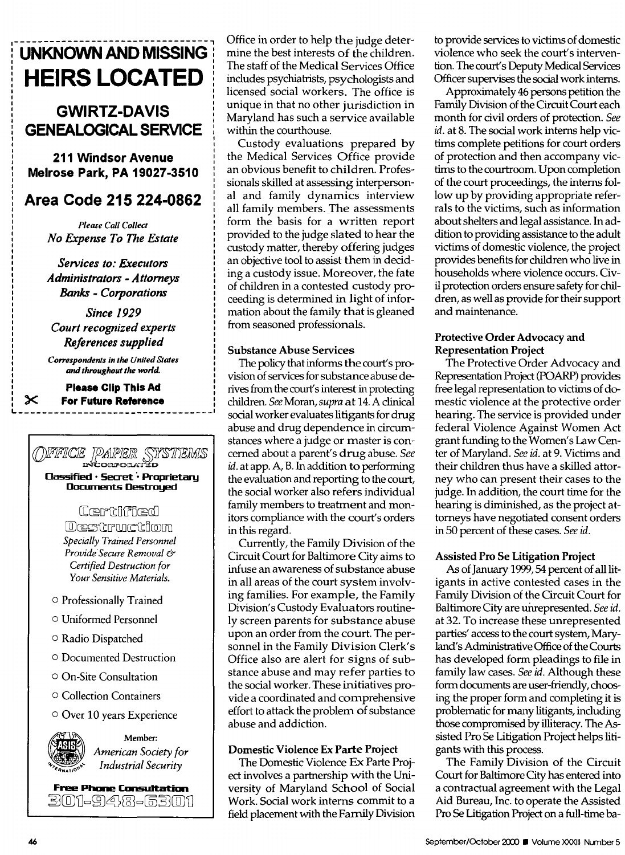## **LINKNOWN AND MISSING HEIRS LOCATED**

### **GWIRTZ-DAVIS GENEALOGICAL SERVICE**

**211 Windsor Avenue Melrose Park, PA 19027-3510** 

### Area Code 215 224-0862

**Please Call Collect** No Expense To The Estate

Services to: Executors **Administrators - Attorneys Banks - Corporations** 

**Since 1929** Court recognized experts References supplied

**Correspondents in the United States** and throughout the world.

**Please Clip This Ad For Future Reference** 

 $\boldsymbol{\times}$ 

## OFFICE PAPER SYSTEMS

Classified · Secret · Proprietary **Documents Destroyed** 

### Certificad

Destmuction **Specially Trained Personnel** Provide Secure Removal & Certified Destruction for Your Sensitive Materials.

- O Professionally Trained
- O Uniformed Personnel
- O Radio Dispatched
- O Documented Destruction
- On-Site Consultation
- Collection Containers

### O Over 10 years Experience



Member: American Society for **Industrial Security** 

**Free Phone Consultation** 301-9413-6301 Office in order to help the judge determine the best interests of the children. The staff of the Medical Services Office includes psychiatrists, psychologists and licensed social workers. The office is unique in that no other jurisdiction in Maryland has such a service available within the courthouse.

Custody evaluations prepared by the Medical Services Office provide an obvious benefit to children. Professionals skilled at assessing interpersonal and family dynamics interview all family members. The assessments form the basis for a written report provided to the judge slated to hear the custody matter, thereby offering judges an objective tool to assist them in deciding a custody issue. Moreover, the fate of children in a contested custody proceeding is determined in light of information about the family that is gleaned from seasoned professionals.

### **Substance Abuse Services**

The policy that informs the court's provision of services for substance abuse derives from the court's interest in protecting children. See Moran, supra at 14. A clinical social worker evaluates litigants for drug abuse and drug dependence in circumstances where a judge or master is concerned about a parent's drug abuse. See id. at app. A, B. In addition to performing the evaluation and reporting to the court, the social worker also refers individual family members to treatment and monitors compliance with the court's orders in this regard.

Currently, the Family Division of the Circuit Court for Baltimore City aims to infuse an awareness of substance abuse in all areas of the court system involving families. For example, the Family Division's Custody Evaluators routinely screen parents for substance abuse upon an order from the court. The personnel in the Family Division Clerk's Office also are alert for signs of substance abuse and may refer parties to the social worker. These initiatives provide a coordinated and comprehensive effort to attack the problem of substance abuse and addiction.

### Domestic Violence Ex Parte Project

The Domestic Violence Ex Parte Project involves a partnership with the University of Maryland School of Social Work. Social work interns commit to a field placement with the Family Division to provide services to victims of domestic violence who seek the court's intervention. The court's Deputy Medical Services Officer supervises the social work interns.

Approximately 46 persons petition the Family Division of the Circuit Court each month for civil orders of protection. See id. at 8. The social work interns help victims complete petitions for court orders of protection and then accompany victims to the courtroom. Upon completion of the court proceedings, the interns follow up by providing appropriate referrals to the victims, such as information about shelters and legal assistance. In addition to providing assistance to the adult victims of domestic violence, the project provides benefits for children who live in households where violence occurs. Civil protection orders ensure safety for children, as well as provide for their support and maintenance.

### Protective Order Advocacy and **Representation Project**

The Protective Order Advocacy and Representation Project (POARP) provides free legal representation to victims of domestic violence at the protective order hearing. The service is provided under federal Violence Against Women Act grant funding to the Women's Law Center of Maryland. See id. at 9. Victims and their children thus have a skilled attorney who can present their cases to the judge. In addition, the court time for the hearing is diminished, as the project attorneys have negotiated consent orders in 50 percent of these cases. See id.

### **Assisted Pro Se Litigation Project**

As of January 1999, 54 percent of all litigants in active contested cases in the Family Division of the Circuit Court for Baltimore City are unrepresented. See id. at 32. To increase these unrepresented parties' access to the court system, Maryland's Administrative Office of the Courts has developed form pleadings to file in family law cases. See id. Although these form documents are user-friendly, choosing the proper form and completing it is problematic for many litigants, including those compromised by illiteracy. The Assisted Pro Se Litigation Project helps litigants with this process.

The Family Division of the Circuit Court for Baltimore City has entered into a contractual agreement with the Legal Aid Bureau, Inc. to operate the Assisted Pro Se Litigation Project on a full-time ba